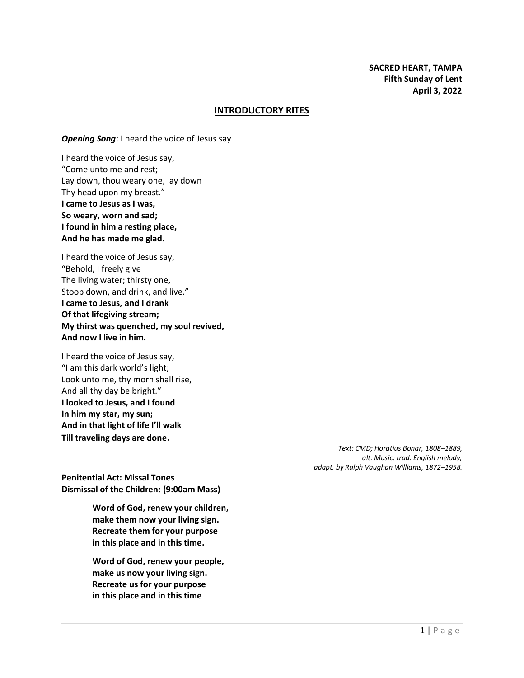#### **INTRODUCTORY RITES**

*Opening Song*: I heard the voice of Jesus say

I heard the voice of Jesus say, "Come unto me and rest; Lay down, thou weary one, lay down Thy head upon my breast." **I came to Jesus as I was, So weary, worn and sad; I found in him a resting place, And he has made me glad.**

I heard the voice of Jesus say, "Behold, I freely give The living water; thirsty one, Stoop down, and drink, and live." **I came to Jesus, and I drank Of that lifegiving stream; My thirst was quenched, my soul revived, And now I live in him.**

I heard the voice of Jesus say, "I am this dark world's light; Look unto me, thy morn shall rise, And all thy day be bright." **I looked to Jesus, and I found In him my star, my sun; And in that light of life I'll walk Till traveling days are done.**

> *Text: CMD; Horatius Bonar, 1808–1889, alt. Music: trad. English melody, adapt. by Ralph Vaughan Williams, 1872–1958.*

**Penitential Act: Missal Tones Dismissal of the Children: (9:00am Mass)**

> **Word of God, renew your children, make them now your living sign. Recreate them for your purpose in this place and in this time.**

**Word of God, renew your people, make us now your living sign. Recreate us for your purpose in this place and in this time**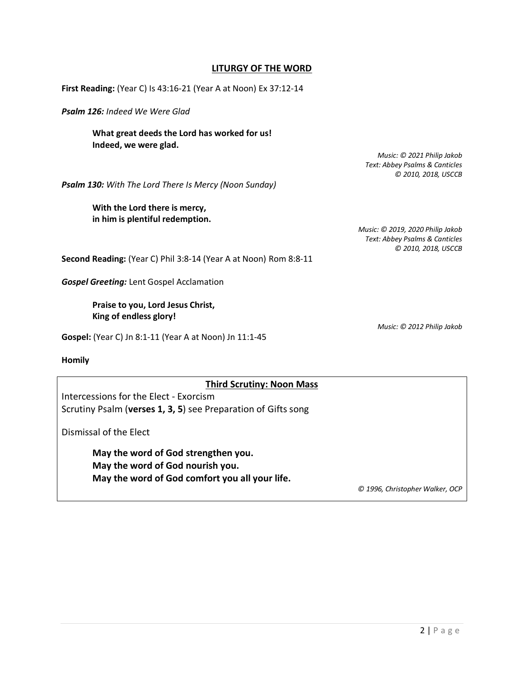## **LITURGY OF THE WORD**

**First Reading:** (Year C) Is 43:16-21 (Year A at Noon) Ex 37:12-14

*Psalm 126: Indeed We Were Glad*

**What great deeds the Lord has worked for us! Indeed, we were glad.**

> *Music: © 2021 Philip Jakob Text: Abbey Psalms & Canticles © 2010, 2018, USCCB*

*Psalm 130: With The Lord There Is Mercy (Noon Sunday)*

**With the Lord there is mercy, in him is plentiful redemption.**

*Music: © 2019, 2020 Philip Jakob Text: Abbey Psalms & Canticles © 2010, 2018, USCCB*

**Second Reading:** (Year C) Phil 3:8-14 (Year A at Noon) Rom 8:8-11

*Gospel Greeting:* Lent Gospel Acclamation

**Praise to you, Lord Jesus Christ, King of endless glory!**

**Gospel:** (Year C) Jn 8:1-11 (Year A at Noon) Jn 11:1-45

*Music: © 2012 Philip Jakob*

**Homily**

#### **Third Scrutiny: Noon Mass**

Intercessions for the Elect - Exorcism Scrutiny Psalm (**verses 1, 3, 5**) see Preparation of Gifts song

Dismissal of the Elect

**May the word of God strengthen you. May the word of God nourish you. May the word of God comfort you all your life.**

*© 1996, Christopher Walker, OCP*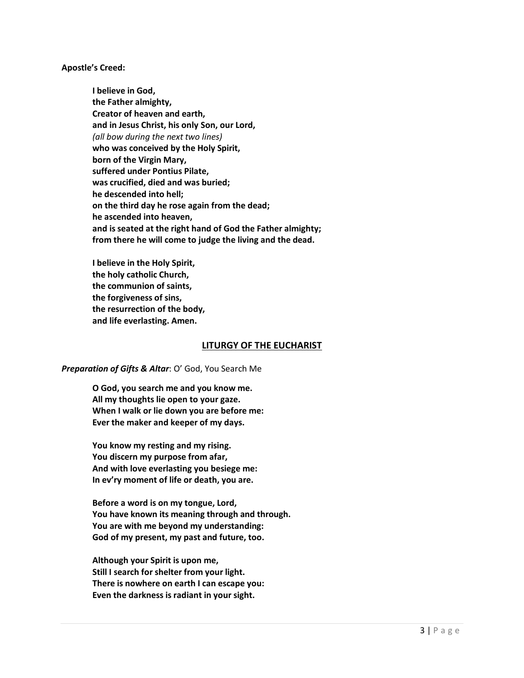**Apostle's Creed:**

**I believe in God, the Father almighty, Creator of heaven and earth, and in Jesus Christ, his only Son, our Lord,** *(all bow during the next two lines)* **who was conceived by the Holy Spirit, born of the Virgin Mary, suffered under Pontius Pilate, was crucified, died and was buried; he descended into hell; on the third day he rose again from the dead; he ascended into heaven, and is seated at the right hand of God the Father almighty; from there he will come to judge the living and the dead.**

**I believe in the Holy Spirit, the holy catholic Church, the communion of saints, the forgiveness of sins, the resurrection of the body, and life everlasting. Amen.**

# **LITURGY OF THE EUCHARIST**

*Preparation of Gifts & Altar*: O' God, You Search Me

**O God, you search me and you know me. All my thoughts lie open to your gaze. When I walk or lie down you are before me: Ever the maker and keeper of my days.**

**You know my resting and my rising. You discern my purpose from afar, And with love everlasting you besiege me: In ev'ry moment of life or death, you are.**

**Before a word is on my tongue, Lord, You have known its meaning through and through. You are with me beyond my understanding: God of my present, my past and future, too.**

**Although your Spirit is upon me, Still I search for shelter from your light. There is nowhere on earth I can escape you: Even the darkness is radiant in your sight.**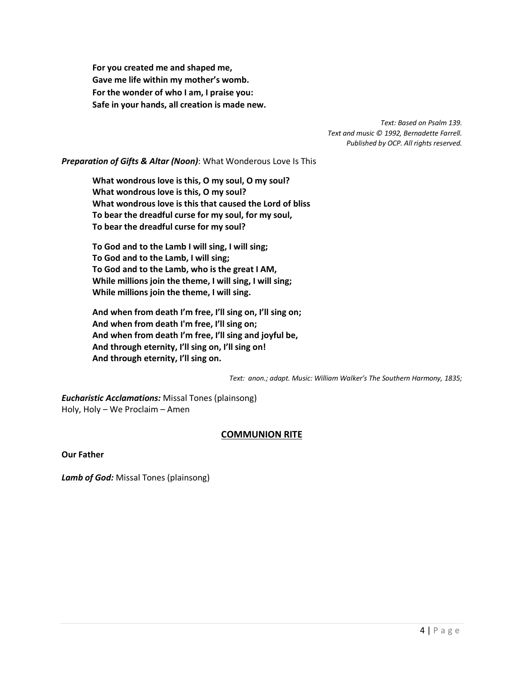**For you created me and shaped me, Gave me life within my mother's womb. For the wonder of who I am, I praise you: Safe in your hands, all creation is made new.**

> *Text: Based on Psalm 139. Text and music © 1992, Bernadette Farrell. Published by OCP. All rights reserved.*

*Preparation of Gifts & Altar (Noon)*: What Wonderous Love Is This

**What wondrous love is this, O my soul, O my soul? What wondrous love is this, O my soul? What wondrous love is this that caused the Lord of bliss To bear the dreadful curse for my soul, for my soul, To bear the dreadful curse for my soul?**

**To God and to the Lamb I will sing, I will sing; To God and to the Lamb, I will sing; To God and to the Lamb, who is the great I AM, While millions join the theme, I will sing, I will sing; While millions join the theme, I will sing.**

**And when from death I'm free, I'll sing on, I'll sing on; And when from death I'm free, I'll sing on; And when from death I'm free, I'll sing and joyful be, And through eternity, I'll sing on, I'll sing on! And through eternity, I'll sing on.**

*Text: anon.; adapt. Music: William Walker's The Southern Harmony, 1835;* 

*Eucharistic Acclamations:* Missal Tones (plainsong) Holy, Holy – We Proclaim – Amen

# **COMMUNION RITE**

**Our Father**

*Lamb of God:* Missal Tones (plainsong)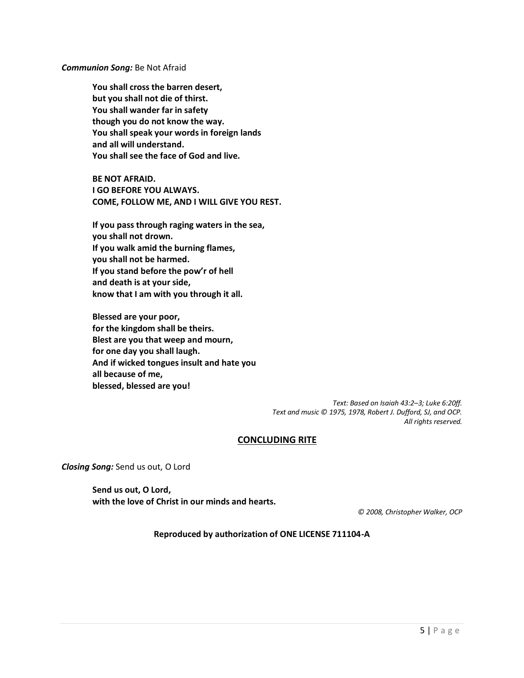*Communion Song:* Be Not Afraid

**You shall cross the barren desert, but you shall not die of thirst. You shall wander far in safety though you do not know the way. You shall speak your words in foreign lands and all will understand. You shall see the face of God and live.**

**BE NOT AFRAID. I GO BEFORE YOU ALWAYS. COME, FOLLOW ME, AND I WILL GIVE YOU REST.**

**If you pass through raging waters in the sea, you shall not drown. If you walk amid the burning flames, you shall not be harmed. If you stand before the pow'r of hell and death is at your side, know that I am with you through it all.**

**Blessed are your poor, for the kingdom shall be theirs. Blest are you that weep and mourn, for one day you shall laugh. And if wicked tongues insult and hate you all because of me, blessed, blessed are you!**

> *Text: Based on Isaiah 43:2–3; Luke 6:20ff. Text and music © 1975, 1978, Robert J. Dufford, SJ, and OCP. All rights reserved.*

#### **CONCLUDING RITE**

*Closing Song:* Send us out, O Lord

**Send us out, O Lord, with the love of Christ in our minds and hearts.**

*© 2008, Christopher Walker, OCP*

**Reproduced by authorization of ONE LICENSE 711104-A**